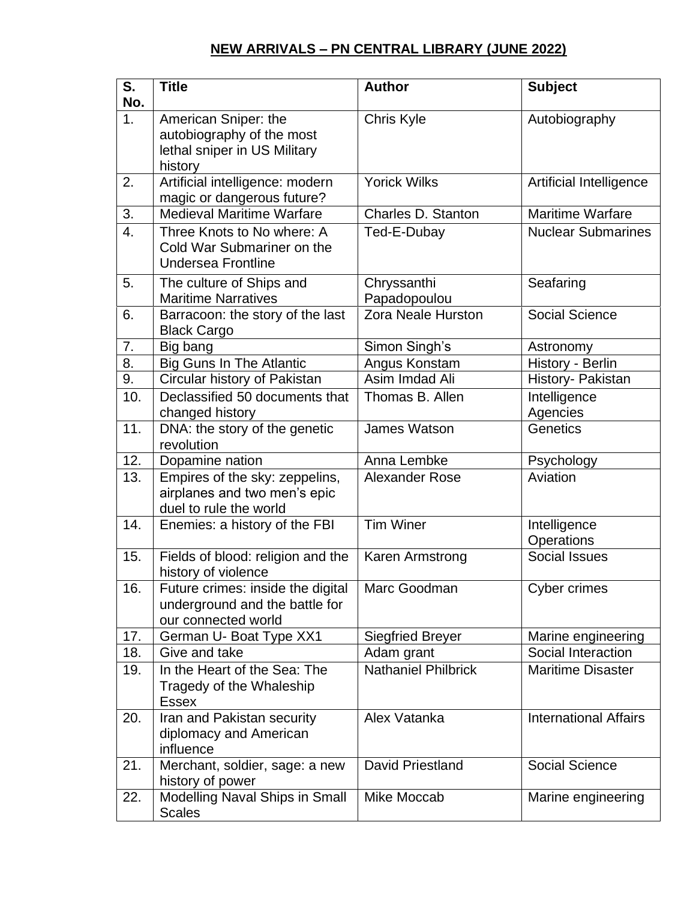## **NEW ARRIVALS – PN CENTRAL LIBRARY (JUNE 2022)**

| S.<br>No.      | <b>Title</b>                                                                                 | <b>Author</b>               | <b>Subject</b>               |
|----------------|----------------------------------------------------------------------------------------------|-----------------------------|------------------------------|
| 1 <sub>1</sub> | American Sniper: the<br>autobiography of the most<br>lethal sniper in US Military<br>history | Chris Kyle                  | Autobiography                |
| 2.             | Artificial intelligence: modern<br>magic or dangerous future?                                | <b>Yorick Wilks</b>         | Artificial Intelligence      |
| 3.             | <b>Medieval Maritime Warfare</b>                                                             | Charles D. Stanton          | <b>Maritime Warfare</b>      |
| 4.             | Three Knots to No where: A<br>Cold War Submariner on the<br><b>Undersea Frontline</b>        | Ted-E-Dubay                 | <b>Nuclear Submarines</b>    |
| 5.             | The culture of Ships and<br><b>Maritime Narratives</b>                                       | Chryssanthi<br>Papadopoulou | Seafaring                    |
| 6.             | Barracoon: the story of the last<br><b>Black Cargo</b>                                       | Zora Neale Hurston          | <b>Social Science</b>        |
| 7.             | Big bang                                                                                     | Simon Singh's               | Astronomy                    |
| 8.             | <b>Big Guns In The Atlantic</b>                                                              | Angus Konstam               | History - Berlin             |
| 9.             | Circular history of Pakistan                                                                 | Asim Imdad Ali              | History- Pakistan            |
| 10.            | Declassified 50 documents that<br>changed history                                            | Thomas B. Allen             | Intelligence<br>Agencies     |
| 11.            | DNA: the story of the genetic<br>revolution                                                  | James Watson                | Genetics                     |
| 12.            | Dopamine nation                                                                              | Anna Lembke                 | Psychology                   |
| 13.            | Empires of the sky: zeppelins,<br>airplanes and two men's epic<br>duel to rule the world     | Alexander Rose              | Aviation                     |
| 14.            | Enemies: a history of the FBI                                                                | <b>Tim Winer</b>            | Intelligence<br>Operations   |
| 15.            | Fields of blood: religion and the<br>history of violence                                     | Karen Armstrong             | <b>Social Issues</b>         |
| 16.            | Future crimes: inside the digital<br>underground and the battle for<br>our connected world   | Marc Goodman                | <b>Cyber crimes</b>          |
| 17.            | German U- Boat Type XX1                                                                      | <b>Siegfried Breyer</b>     | Marine engineering           |
| 18.            | Give and take                                                                                | Adam grant                  | Social Interaction           |
| 19.            | In the Heart of the Sea: The<br>Tragedy of the Whaleship<br><b>Essex</b>                     | Nathaniel Philbrick         | <b>Maritime Disaster</b>     |
| 20.            | Iran and Pakistan security<br>diplomacy and American<br>influence                            | Alex Vatanka                | <b>International Affairs</b> |
| 21.            | Merchant, soldier, sage: a new<br>history of power                                           | <b>David Priestland</b>     | <b>Social Science</b>        |
| 22.            | Modelling Naval Ships in Small<br><b>Scales</b>                                              | Mike Moccab                 | Marine engineering           |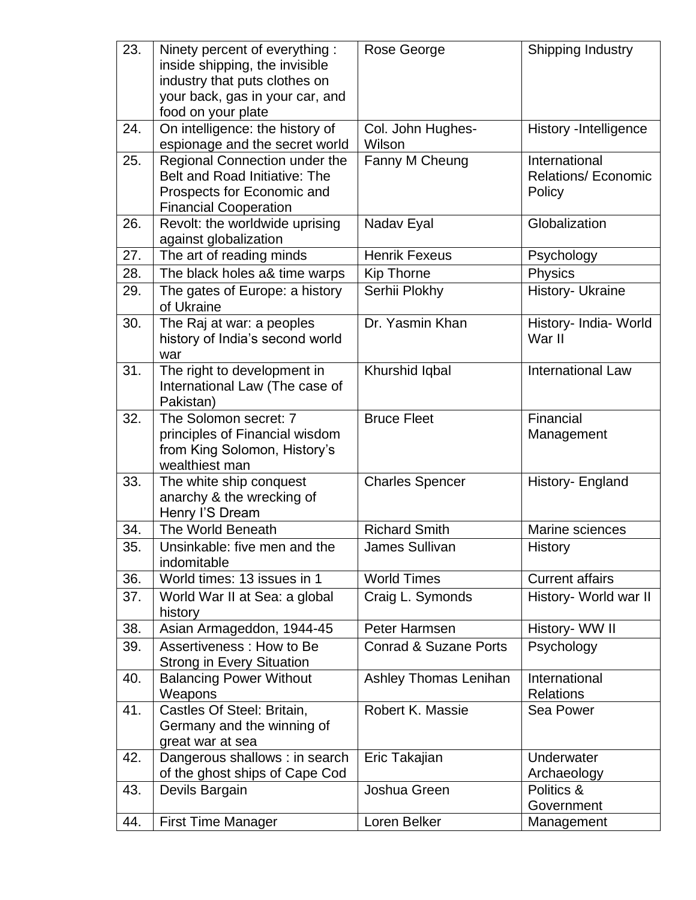| 23. | Ninety percent of everything:<br>inside shipping, the invisible<br>industry that puts clothes on<br>your back, gas in your car, and<br>food on your plate | Rose George                      | Shipping Industry                                     |
|-----|-----------------------------------------------------------------------------------------------------------------------------------------------------------|----------------------------------|-------------------------------------------------------|
| 24. | On intelligence: the history of<br>espionage and the secret world                                                                                         | Col. John Hughes-<br>Wilson      | History -Intelligence                                 |
| 25. | Regional Connection under the<br>Belt and Road Initiative: The<br>Prospects for Economic and<br><b>Financial Cooperation</b>                              | Fanny M Cheung                   | International<br><b>Relations/ Economic</b><br>Policy |
| 26. | Revolt: the worldwide uprising<br>against globalization                                                                                                   | Nadav Eyal                       | Globalization                                         |
| 27. | The art of reading minds                                                                                                                                  | <b>Henrik Fexeus</b>             | Psychology                                            |
| 28. | The black holes a& time warps                                                                                                                             | Kip Thorne                       | Physics                                               |
| 29. | The gates of Europe: a history<br>of Ukraine                                                                                                              | Serhii Plokhy                    | History- Ukraine                                      |
| 30. | The Raj at war: a peoples<br>history of India's second world<br>war                                                                                       | Dr. Yasmin Khan                  | History- India- World<br>War II                       |
| 31. | The right to development in<br>International Law (The case of<br>Pakistan)                                                                                | Khurshid Iqbal                   | <b>International Law</b>                              |
| 32. | The Solomon secret: 7<br>principles of Financial wisdom<br>from King Solomon, History's<br>wealthiest man                                                 | <b>Bruce Fleet</b>               | Financial<br>Management                               |
| 33. | The white ship conquest<br>anarchy & the wrecking of<br>Henry I'S Dream                                                                                   | <b>Charles Spencer</b>           | History- England                                      |
| 34. | The World Beneath                                                                                                                                         | <b>Richard Smith</b>             | Marine sciences                                       |
| 35. | Unsinkable: five men and the<br>indomitable                                                                                                               | James Sullivan                   | History                                               |
| 36. | World times: 13 issues in 1                                                                                                                               | <b>World Times</b>               | <b>Current affairs</b>                                |
| 37. | World War II at Sea: a global<br>history                                                                                                                  | Craig L. Symonds                 | History- World war II                                 |
| 38. | Asian Armageddon, 1944-45                                                                                                                                 | Peter Harmsen                    | History- WW II                                        |
| 39. | Assertiveness: How to Be<br><b>Strong in Every Situation</b>                                                                                              | <b>Conrad &amp; Suzane Ports</b> | Psychology                                            |
| 40. | <b>Balancing Power Without</b><br>Weapons                                                                                                                 | Ashley Thomas Lenihan            | International<br><b>Relations</b>                     |
| 41. | Castles Of Steel: Britain,<br>Germany and the winning of<br>great war at sea                                                                              | Robert K. Massie                 | Sea Power                                             |
| 42. | Dangerous shallows : in search<br>of the ghost ships of Cape Cod                                                                                          | Eric Takajian                    | Underwater<br>Archaeology                             |
| 43. | Devils Bargain                                                                                                                                            | Joshua Green                     | Politics &<br>Government                              |
| 44. | <b>First Time Manager</b>                                                                                                                                 | Loren Belker                     | Management                                            |